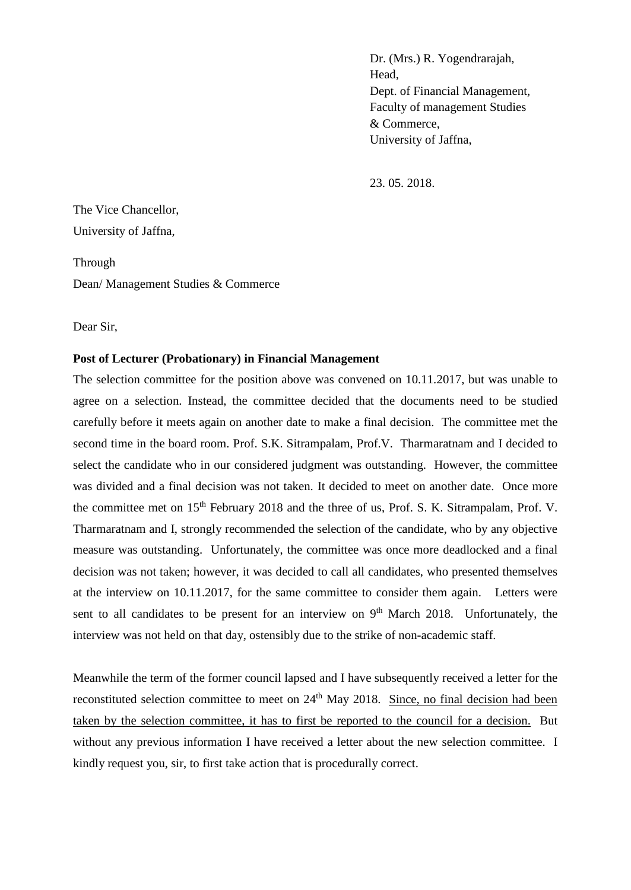Dr. (Mrs.) R. Yogendrarajah, Head, Dept. of Financial Management, Faculty of management Studies & Commerce, University of Jaffna,

23. 05. 2018.

The Vice Chancellor, University of Jaffna,

Through Dean/ Management Studies & Commerce

Dear Sir,

## **Post of Lecturer (Probationary) in Financial Management**

The selection committee for the position above was convened on 10.11.2017, but was unable to agree on a selection. Instead, the committee decided that the documents need to be studied carefully before it meets again on another date to make a final decision. The committee met the second time in the board room. Prof. S.K. Sitrampalam, Prof.V. Tharmaratnam and I decided to select the candidate who in our considered judgment was outstanding. However, the committee was divided and a final decision was not taken. It decided to meet on another date. Once more the committee met on 15<sup>th</sup> February 2018 and the three of us, Prof. S. K. Sitrampalam, Prof. V. Tharmaratnam and I, strongly recommended the selection of the candidate, who by any objective measure was outstanding. Unfortunately, the committee was once more deadlocked and a final decision was not taken; however, it was decided to call all candidates, who presented themselves at the interview on 10.11.2017, for the same committee to consider them again. Letters were sent to all candidates to be present for an interview on  $9<sup>th</sup>$  March 2018. Unfortunately, the interview was not held on that day, ostensibly due to the strike of non-academic staff.

Meanwhile the term of the former council lapsed and I have subsequently received a letter for the reconstituted selection committee to meet on 24<sup>th</sup> May 2018. Since, no final decision had been taken by the selection committee, it has to first be reported to the council for a decision. But without any previous information I have received a letter about the new selection committee. I kindly request you, sir, to first take action that is procedurally correct.